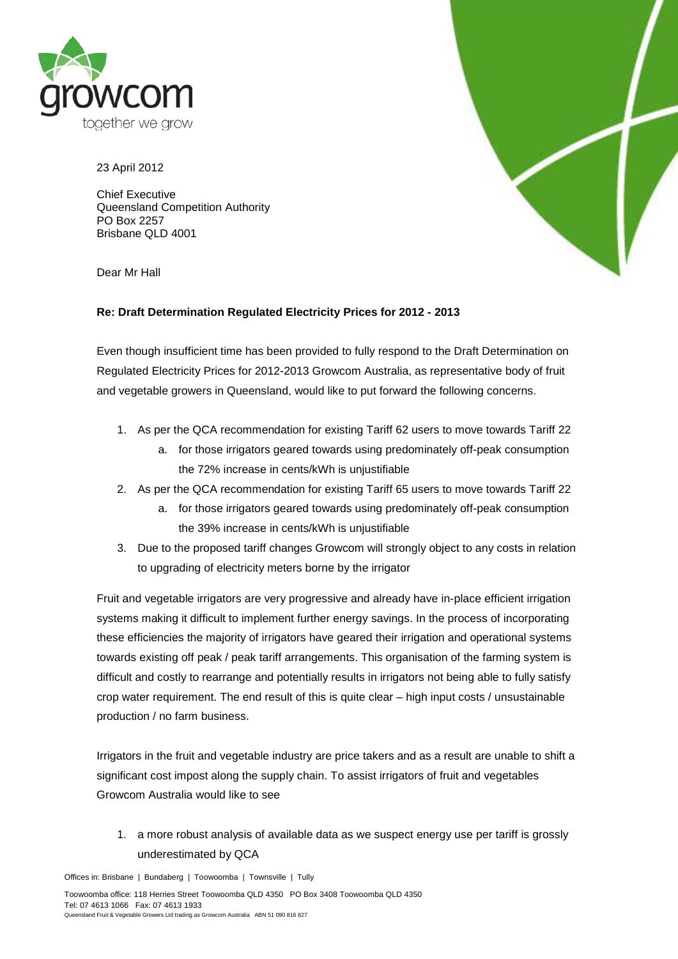

23 April 2012

Chief Executive Queensland Competition Authority PO Box 2257 Brisbane QLD 4001

Dear Mr Hall



## **Re: Draft Determination Regulated Electricity Prices for 2012 - 2013**

Even though insufficient time has been provided to fully respond to the Draft Determination on Regulated Electricity Prices for 2012-2013 Growcom Australia, as representative body of fruit and vegetable growers in Queensland, would like to put forward the following concerns.

- 1. As per the QCA recommendation for existing Tariff 62 users to move towards Tariff 22
	- a. for those irrigators geared towards using predominately off-peak consumption the 72% increase in cents/kWh is unjustifiable
- 2. As per the QCA recommendation for existing Tariff 65 users to move towards Tariff 22
	- a. for those irrigators geared towards using predominately off-peak consumption the 39% increase in cents/kWh is unjustifiable
- 3. Due to the proposed tariff changes Growcom will strongly object to any costs in relation to upgrading of electricity meters borne by the irrigator

Fruit and vegetable irrigators are very progressive and already have in-place efficient irrigation systems making it difficult to implement further energy savings. In the process of incorporating these efficiencies the majority of irrigators have geared their irrigation and operational systems towards existing off peak / peak tariff arrangements. This organisation of the farming system is difficult and costly to rearrange and potentially results in irrigators not being able to fully satisfy crop water requirement. The end result of this is quite clear – high input costs / unsustainable production / no farm business.

Irrigators in the fruit and vegetable industry are price takers and as a result are unable to shift a significant cost impost along the supply chain. To assist irrigators of fruit and vegetables Growcom Australia would like to see

1. a more robust analysis of available data as we suspect energy use per tariff is grossly underestimated by QCA

Offices in: Brisbane | Bundaberg | Toowoomba | Townsville | Tully